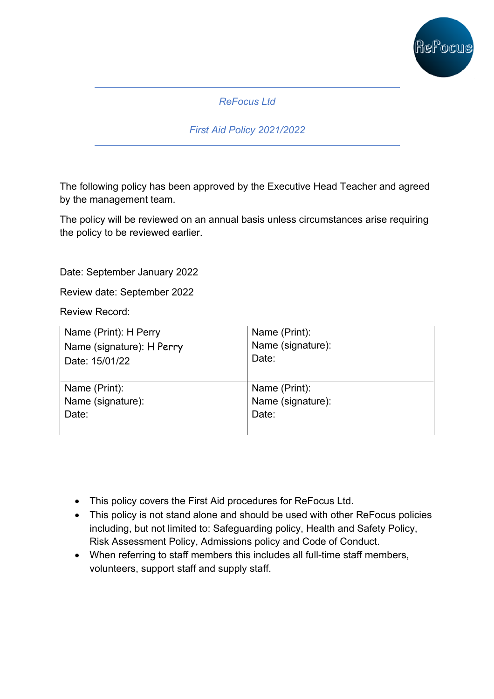

# *ReFocus Ltd*

*First Aid Policy 2021/2022*

The following policy has been approved by the Executive Head Teacher and agreed by the management team.

The policy will be reviewed on an annual basis unless circumstances arise requiring the policy to be reviewed earlier.

Date: September January 2022

Review date: September 2022

Review Record:

| Name (Print): H Perry     | Name (Print):     |  |
|---------------------------|-------------------|--|
| Name (signature): H Perry | Name (signature): |  |
| Date: 15/01/22            | Date:             |  |
|                           |                   |  |
| Name (Print):             | Name (Print):     |  |
| Name (signature):         | Name (signature): |  |
| Date:                     | Date:             |  |
|                           |                   |  |

- This policy covers the First Aid procedures for ReFocus Ltd.
- This policy is not stand alone and should be used with other ReFocus policies including, but not limited to: Safeguarding policy, Health and Safety Policy, Risk Assessment Policy, Admissions policy and Code of Conduct.
- When referring to staff members this includes all full-time staff members, volunteers, support staff and supply staff.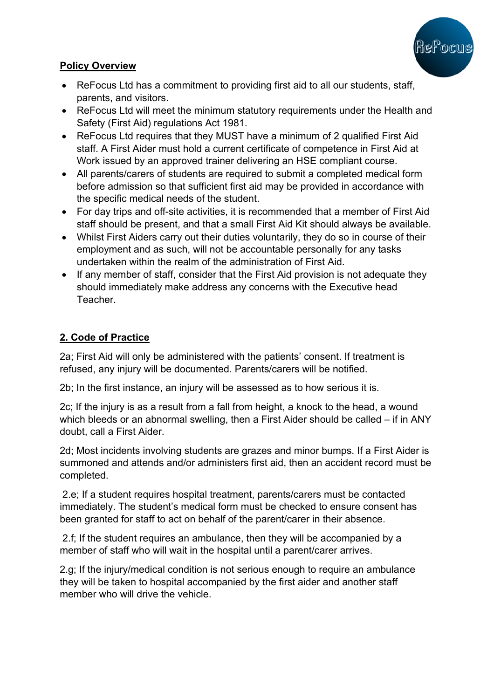

# **Policy Overview**

- ReFocus Ltd has a commitment to providing first aid to all our students, staff, parents, and visitors.
- ReFocus Ltd will meet the minimum statutory requirements under the Health and Safety (First Aid) regulations Act 1981.
- ReFocus Ltd requires that they MUST have a minimum of 2 qualified First Aid staff. A First Aider must hold a current certificate of competence in First Aid at Work issued by an approved trainer delivering an HSE compliant course.
- All parents/carers of students are required to submit a completed medical form before admission so that sufficient first aid may be provided in accordance with the specific medical needs of the student.
- For day trips and off-site activities, it is recommended that a member of First Aid staff should be present, and that a small First Aid Kit should always be available.
- Whilst First Aiders carry out their duties voluntarily, they do so in course of their employment and as such, will not be accountable personally for any tasks undertaken within the realm of the administration of First Aid.
- If any member of staff, consider that the First Aid provision is not adequate they should immediately make address any concerns with the Executive head Teacher.

# **2. Code of Practice**

2a; First Aid will only be administered with the patients' consent. If treatment is refused, any injury will be documented. Parents/carers will be notified.

2b; In the first instance, an injury will be assessed as to how serious it is.

2c; If the injury is as a result from a fall from height, a knock to the head, a wound which bleeds or an abnormal swelling, then a First Aider should be called – if in ANY doubt, call a First Aider.

2d; Most incidents involving students are grazes and minor bumps. If a First Aider is summoned and attends and/or administers first aid, then an accident record must be completed.

2.e; If a student requires hospital treatment, parents/carers must be contacted immediately. The student's medical form must be checked to ensure consent has been granted for staff to act on behalf of the parent/carer in their absence.

2.f; If the student requires an ambulance, then they will be accompanied by a member of staff who will wait in the hospital until a parent/carer arrives.

2.g; If the injury/medical condition is not serious enough to require an ambulance they will be taken to hospital accompanied by the first aider and another staff member who will drive the vehicle.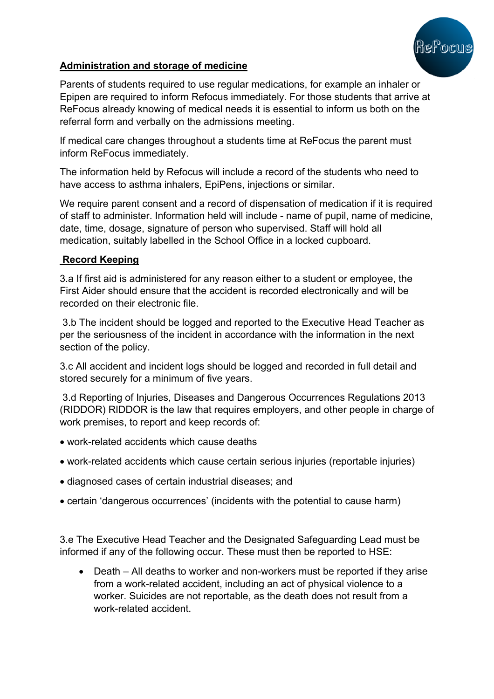

## **Administration and storage of medicine**

Parents of students required to use regular medications, for example an inhaler or Epipen are required to inform Refocus immediately. For those students that arrive at ReFocus already knowing of medical needs it is essential to inform us both on the referral form and verbally on the admissions meeting.

If medical care changes throughout a students time at ReFocus the parent must inform ReFocus immediately.

The information held by Refocus will include a record of the students who need to have access to asthma inhalers, EpiPens, injections or similar.

We require parent consent and a record of dispensation of medication if it is required of staff to administer. Information held will include - name of pupil, name of medicine, date, time, dosage, signature of person who supervised. Staff will hold all medication, suitably labelled in the School Office in a locked cupboard.

### **Record Keeping**

3.a If first aid is administered for any reason either to a student or employee, the First Aider should ensure that the accident is recorded electronically and will be recorded on their electronic file.

3.b The incident should be logged and reported to the Executive Head Teacher as per the seriousness of the incident in accordance with the information in the next section of the policy.

3.c All accident and incident logs should be logged and recorded in full detail and stored securely for a minimum of five years.

3.d Reporting of Injuries, Diseases and Dangerous Occurrences Regulations 2013 (RIDDOR) RIDDOR is the law that requires employers, and other people in charge of work premises, to report and keep records of:

- work-related accidents which cause deaths
- work-related accidents which cause certain serious injuries (reportable injuries)
- diagnosed cases of certain industrial diseases; and
- certain 'dangerous occurrences' (incidents with the potential to cause harm)

3.e The Executive Head Teacher and the Designated Safeguarding Lead must be informed if any of the following occur. These must then be reported to HSE:

• Death – All deaths to worker and non-workers must be reported if they arise from a work-related accident, including an act of physical violence to a worker. Suicides are not reportable, as the death does not result from a work-related accident.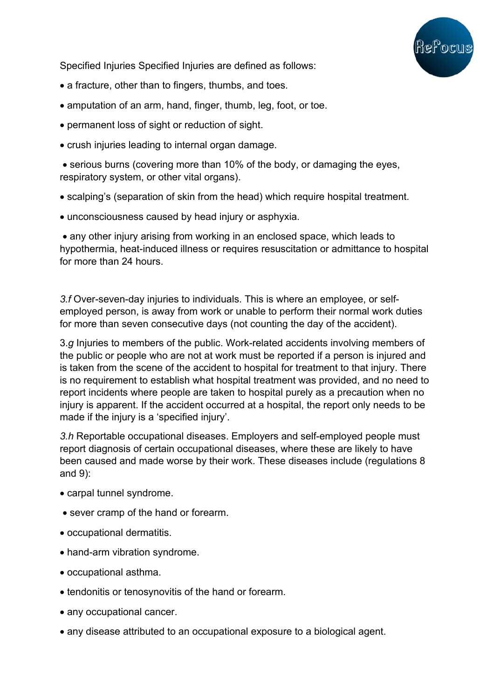Specified Injuries Specified Injuries are defined as follows:

- a fracture, other than to fingers, thumbs, and toes.
- amputation of an arm, hand, finger, thumb, leg, foot, or toe.
- permanent loss of sight or reduction of sight.
- crush injuries leading to internal organ damage.

• serious burns (covering more than 10% of the body, or damaging the eyes, respiratory system, or other vital organs).

Refocu

- scalping's (separation of skin from the head) which require hospital treatment.
- unconsciousness caused by head injury or asphyxia.

• any other injury arising from working in an enclosed space, which leads to hypothermia, heat-induced illness or requires resuscitation or admittance to hospital for more than 24 hours.

*3.f* Over-seven-day injuries to individuals. This is where an employee, or selfemployed person, is away from work or unable to perform their normal work duties for more than seven consecutive days (not counting the day of the accident).

3.*g* Injuries to members of the public. Work-related accidents involving members of the public or people who are not at work must be reported if a person is injured and is taken from the scene of the accident to hospital for treatment to that injury. There is no requirement to establish what hospital treatment was provided, and no need to report incidents where people are taken to hospital purely as a precaution when no injury is apparent. If the accident occurred at a hospital, the report only needs to be made if the injury is a 'specified injury'.

*3.h* Reportable occupational diseases. Employers and self-employed people must report diagnosis of certain occupational diseases, where these are likely to have been caused and made worse by their work. These diseases include (regulations 8 and 9):

- carpal tunnel syndrome.
- sever cramp of the hand or forearm.
- occupational dermatitis.
- hand-arm vibration syndrome.
- occupational asthma.
- tendonitis or tenosynovitis of the hand or forearm.
- any occupational cancer.
- any disease attributed to an occupational exposure to a biological agent.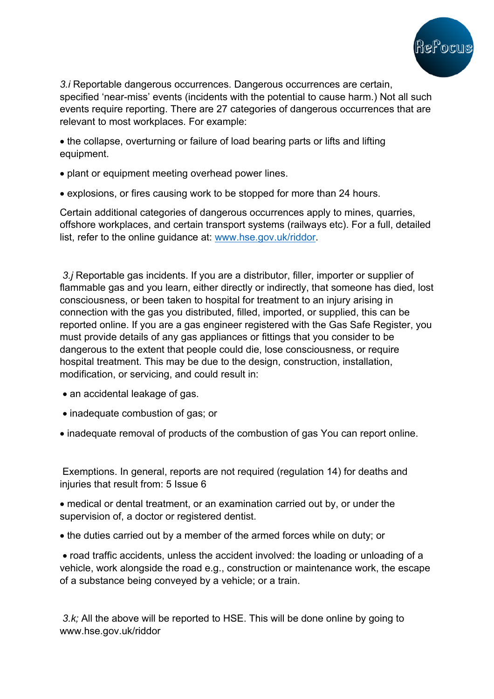

*3.i* Reportable dangerous occurrences. Dangerous occurrences are certain, specified 'near-miss' events (incidents with the potential to cause harm.) Not all such events require reporting. There are 27 categories of dangerous occurrences that are relevant to most workplaces. For example:

• the collapse, overturning or failure of load bearing parts or lifts and lifting equipment.

- plant or equipment meeting overhead power lines.
- explosions, or fires causing work to be stopped for more than 24 hours.

Certain additional categories of dangerous occurrences apply to mines, quarries, offshore workplaces, and certain transport systems (railways etc). For a full, detailed list, refer to the online guidance at: www.hse.gov.uk/riddor.

*3.j* Reportable gas incidents. If you are a distributor, filler, importer or supplier of flammable gas and you learn, either directly or indirectly, that someone has died, lost consciousness, or been taken to hospital for treatment to an injury arising in connection with the gas you distributed, filled, imported, or supplied, this can be reported online. If you are a gas engineer registered with the Gas Safe Register, you must provide details of any gas appliances or fittings that you consider to be dangerous to the extent that people could die, lose consciousness, or require hospital treatment. This may be due to the design, construction, installation, modification, or servicing, and could result in:

- an accidental leakage of gas.
- inadequate combustion of gas; or
- inadequate removal of products of the combustion of gas You can report online.

Exemptions. In general, reports are not required (regulation 14) for deaths and injuries that result from: 5 Issue 6

• medical or dental treatment, or an examination carried out by, or under the supervision of, a doctor or registered dentist.

• the duties carried out by a member of the armed forces while on duty; or

• road traffic accidents, unless the accident involved: the loading or unloading of a vehicle, work alongside the road e.g., construction or maintenance work, the escape of a substance being conveyed by a vehicle; or a train.

*3.k;* All the above will be reported to HSE. This will be done online by going to www.hse.gov.uk/riddor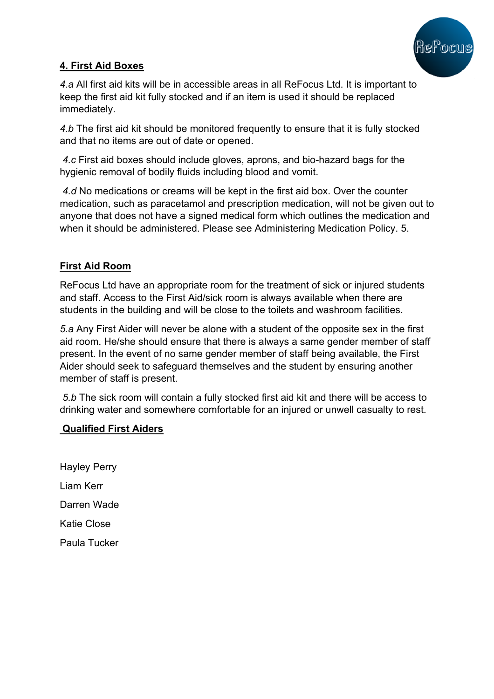

## **4. First Aid Boxes**

*4.a* All first aid kits will be in accessible areas in all ReFocus Ltd. It is important to keep the first aid kit fully stocked and if an item is used it should be replaced immediately.

*4.b* The first aid kit should be monitored frequently to ensure that it is fully stocked and that no items are out of date or opened.

*4.c* First aid boxes should include gloves, aprons, and bio-hazard bags for the hygienic removal of bodily fluids including blood and vomit.

*4.d* No medications or creams will be kept in the first aid box. Over the counter medication, such as paracetamol and prescription medication, will not be given out to anyone that does not have a signed medical form which outlines the medication and when it should be administered. Please see Administering Medication Policy. 5.

#### **First Aid Room**

ReFocus Ltd have an appropriate room for the treatment of sick or injured students and staff. Access to the First Aid/sick room is always available when there are students in the building and will be close to the toilets and washroom facilities.

*5.a* Any First Aider will never be alone with a student of the opposite sex in the first aid room. He/she should ensure that there is always a same gender member of staff present. In the event of no same gender member of staff being available, the First Aider should seek to safeguard themselves and the student by ensuring another member of staff is present.

*5.b* The sick room will contain a fully stocked first aid kit and there will be access to drinking water and somewhere comfortable for an injured or unwell casualty to rest.

#### **Qualified First Aiders**

Hayley Perry Liam Kerr Darren Wade Katie Close Paula Tucker